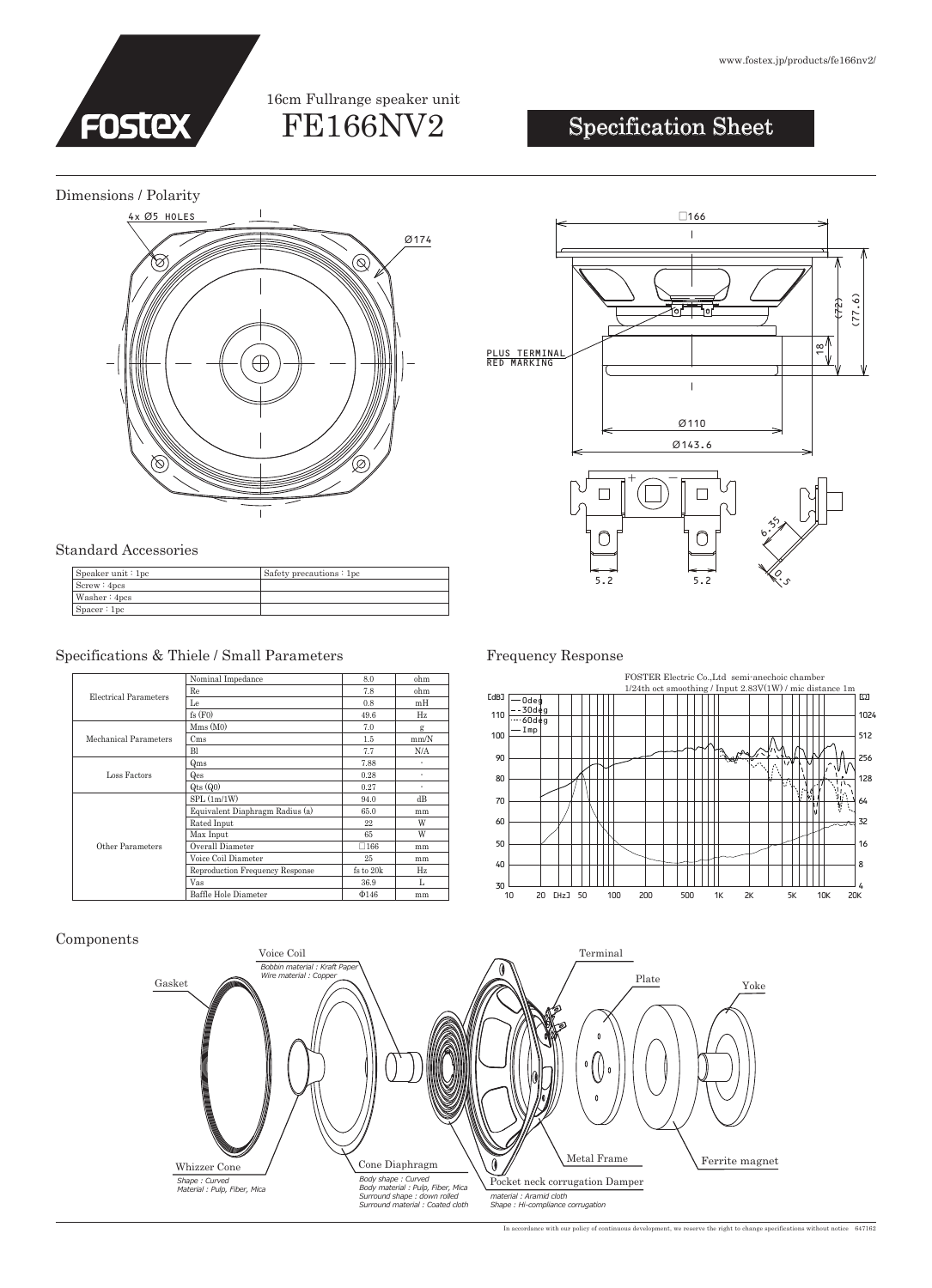

## FE166NV2 16cm Fullrange speaker unit

# Specification Sheet

Dimensions / Polarity



### Standard Accessories

| S <sub>peaker unit</sub> : 1pc | Safety precautions: 1pc |
|--------------------------------|-------------------------|
| Screw: 4pcs                    |                         |
| Washer $: 4pos$                |                         |
| Space:1pc                      |                         |

## Specifications & Thiele / Small Parameters Frequency Response

| Electrical Parameters | Nominal Impedance               | 8.0           | ohm  |
|-----------------------|---------------------------------|---------------|------|
|                       | Re                              | 7.8           | ohm  |
|                       | Le                              | 0.8           | mH   |
|                       | fs(F0)                          | 49.6          | Hz   |
| Mechanical Parameters | Mms(M0)                         | 7.0           | g    |
|                       | C <sub>ms</sub>                 | $1.5\,$       | mm/N |
|                       | <b>Bl</b>                       | 7.7           | N/A  |
| Loss Factors          | Qms                             | 7.88          | ٠    |
|                       | Qes                             | 0.28          | ٠    |
|                       | $Q$ ts $(Q0)$                   | 0.27          | ٠    |
| Other Parameters      | SPL(1m/1W)                      | 94.0          | dB   |
|                       | Equivalent Diaphragm Radius (a) | 65.0          | mm   |
|                       | Rated Input                     | 22            | W    |
|                       | Max Input                       | 65            | W    |
|                       | Overall Diameter                | $\square$ 166 | mm   |
|                       | Voice Coil Diameter             | 25            | mm   |
|                       | Reproduction Frequency Response | fs to 20k     | Hz   |
|                       | Vas                             | 36.9          | L    |
|                       | Baffle Hole Diameter            | $\Phi$ 146    | mm   |





### Components



In accordance with our policy of continuous development, we reserve the right to change specifications without notice 647162